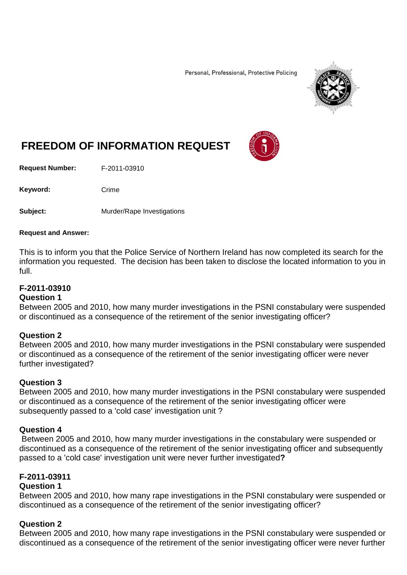Personal, Professional, Protective Policing



# **FREEDOM OF INFORMATION REQUEST**

**Request Number:** F-2011-03910

Keyword: Crime

**Subject:** Murder/Rape Investigations

#### **Request and Answer:**

This is to inform you that the Police Service of Northern Ireland has now completed its search for the information you requested. The decision has been taken to disclose the located information to you in full.

## **F-2011-03910**

#### **Question 1**

Between 2005 and 2010, how many murder investigations in the PSNI constabulary were suspended or discontinued as a consequence of the retirement of the senior investigating officer?

#### **Question 2**

Between 2005 and 2010, how many murder investigations in the PSNI constabulary were suspended or discontinued as a consequence of the retirement of the senior investigating officer were never further investigated?

# **Question 3**

Between 2005 and 2010, how many murder investigations in the PSNI constabulary were suspended or discontinued as a consequence of the retirement of the senior investigating officer were subsequently passed to a 'cold case' investigation unit ?

#### **Question 4**

Between 2005 and 2010, how many murder investigations in the constabulary were suspended or discontinued as a consequence of the retirement of the senior investigating officer and subsequently passed to a 'cold case' investigation unit were never further investigated**?**

# **F-2011-03911**

## **Question 1**

Between 2005 and 2010, how many rape investigations in the PSNI constabulary were suspended or discontinued as a consequence of the retirement of the senior investigating officer?

# **Question 2**

Between 2005 and 2010, how many rape investigations in the PSNI constabulary were suspended or discontinued as a consequence of the retirement of the senior investigating officer were never further